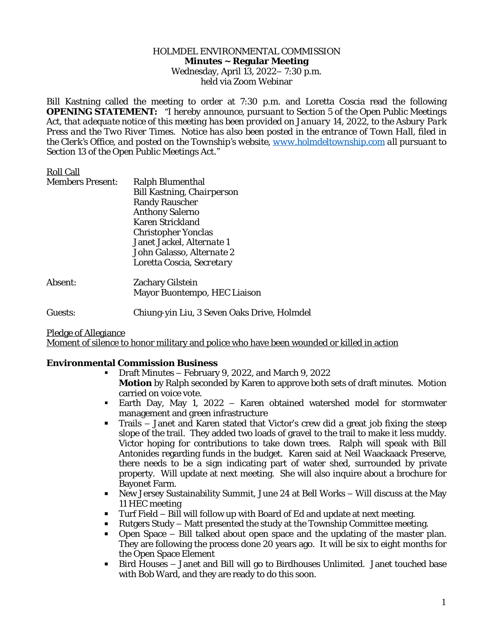#### HOLMDEL ENVIRONMENTAL COMMISSION **Minutes ~ Regular Meeting** Wednesday, April 13, 2022– 7:30 p.m. held via Zoom Webinar

Bill Kastning called the meeting to order at 7:30 p.m. and Loretta Coscia read the following **OPENING STATEMENT:** *"I hereby announce, pursuant to Section 5 of the Open Public Meetings* Act, that adequate notice of this meeting has been provided on January 14, 2022, to the Asbury Park Press and the Two River Times. Notice has also been posted in the entrance of Town Hall, filed in *the Clerk's Office, and posted on the Township's website, [www.holmdeltownship.com](http://www.holmdeltownship.com) all pursuant to Section 13 of the Open Public Meetings Act."*

# Roll Call

| <b>Members Present:</b> | Ralph Blumenthal           |
|-------------------------|----------------------------|
|                         | Bill Kastning, Chairperson |
|                         | <b>Randy Rauscher</b>      |
|                         | <b>Anthony Salerno</b>     |
|                         | Karen Strickland           |
|                         | <b>Christopher Yonclas</b> |
|                         | Janet Jackel, Alternate 1  |
|                         | John Galasso, Alternate 2  |
|                         | Loretta Coscia, Secretary  |
|                         |                            |

Absent: Zachary Gilstein Mayor Buontempo, HEC Liaison

Guests: Chiung-yin Liu, 3 Seven Oaks Drive, Holmdel

Pledge of Allegiance

Moment of silence to honor military and police who have been wounded or killed in action

### **Environmental Commission Business**

- Draft Minutes February 9, 2022, and March 9, 2022 **Motion** by Ralph seconded by Karen to approve both sets of draft minutes. Motion carried on voice vote.
- Earth Day, May 1, 2022 Karen obtained watershed model for stormwater management and green infrastructure
- Trails Janet and Karen stated that Victor's crew did a great job fixing the steep slope of the trail. They added two loads of gravel to the trail to make it less muddy. Victor hoping for contributions to take down trees. Ralph will speak with Bill Antonides regarding funds in the budget. Karen said at Neil Waackaack Preserve, there needs to be a sign indicating part of water shed, surrounded by private property. Will update at next meeting. She will also inquire about a brochure for Bayonet Farm.
- New Jersey Sustainability Summit, June 24 at Bell Works Will discuss at the May 11 HEC meeting
- Turf Field Bill will follow up with Board of Ed and update at next meeting.
- Rutgers Study Matt presented the study at the Township Committee meeting.
- Open Space Bill talked about open space and the updating of the master plan. They are following the process done 20 years ago. It will be six to eight months for the Open Space Element
- Bird Houses Janet and Bill will go to Birdhouses Unlimited. Janet touched base with Bob Ward, and they are ready to do this soon.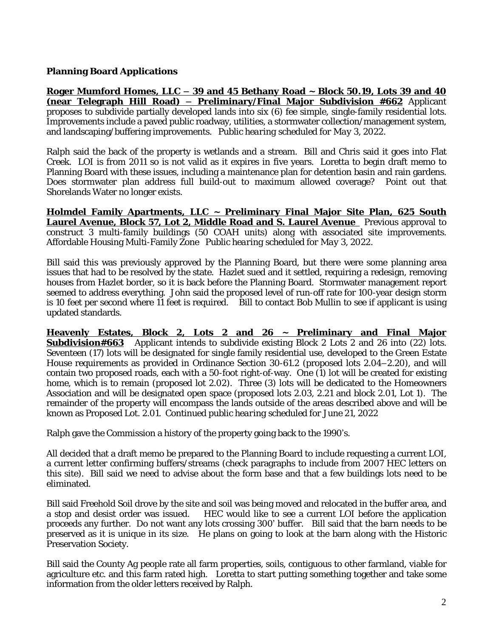# **Planning Board Applications**

**Roger Mumford Homes, LLC – 39 and 45 Bethany Road ~ Block 50.19, Lots 39 and 40 (near Telegraph Hill Road) – Preliminary/Final Major Subdivision #662** Applicant proposes to subdivide partially developed lands into six (6) fee simple, single-family residential lots. Improvements include a paved public roadway, utilities, a stormwater collection/management system, and landscaping/buffering improvements. *Public hearing scheduled for May 3, 2022.*

Ralph said the back of the property is wetlands and a stream. Bill and Chris said it goes into Flat Creek. LOI is from 2011 so is not valid as it expires in five years. Loretta to begin draft memo to Planning Board with these issues, including a maintenance plan for detention basin and rain gardens. Does stormwater plan address full build-out to maximum allowed coverage? Point out that Shorelands Water no longer exists.

**Holmdel Family Apartments, LLC ~ Preliminary Final Major Site Plan, 625 South Laurel Avenue, Block 57, Lot 2, Middle Road and S. Laurel Avenue** Previous approval to construct 3 multi-family buildings (50 COAH units) along with associated site improvements. Affordable Housing Multi-Family Zone *Public hearing scheduled for May 3, 2022.*

Bill said this was previously approved by the Planning Board, but there were some planning area issues that had to be resolved by the state. Hazlet sued and it settled, requiring a redesign, removing houses from Hazlet border, so it is back before the Planning Board. Stormwater management report seemed to address everything. John said the proposed level of run-off rate for 100-year design storm is 10 feet per second where 11 feet is required. Bill to contact Bob Mullin to see if applicant is using updated standards.

**Heavenly Estates, Block 2, Lots 2 and 26 ~ Preliminary and Final Major Subdivision#663** Applicant intends to subdivide existing Block 2 Lots 2 and 26 into (22) lots. Seventeen (17) lots will be designated for single family residential use, developed to the Green Estate House requirements as provided in Ordinance Section 30-61.2 (proposed lots 2.04–2.20), and will contain two proposed roads, each with a 50-foot right-of-way. One (1) lot will be created for existing home, which is to remain (proposed lot 2.02). Three (3) lots will be dedicated to the Homeowners Association and will be designated open space (proposed lots 2.03, 2.21 and block 2.01, Lot 1). The remainder of the property will encompass the lands outside of the areas described above and will be known as Proposed Lot. 2.01. *Continued public hearing scheduled for June 21, 2022*

Ralph gave the Commission a history of the property going back to the 1990's.

All decided that a draft memo be prepared to the Planning Board to include requesting a current LOI, a current letter confirming buffers/streams (check paragraphs to include from 2007 HEC letters on this site). Bill said we need to advise about the form base and that a few buildings lots need to be eliminated.

Bill said Freehold Soil drove by the site and soil was being moved and relocated in the buffer area, and a stop and desist order was issued. HEC would like to see a current LOI before the application proceeds any further. Do not want any lots crossing 300' buffer. Bill said that the barn needs to be preserved as it is unique in its size. He plans on going to look at the barn along with the Historic Preservation Society.

Bill said the County Ag people rate all farm properties, soils, contiguous to other farmland, viable for agriculture etc. and this farm rated high. Loretta to start putting something together and take some information from the older letters received by Ralph.